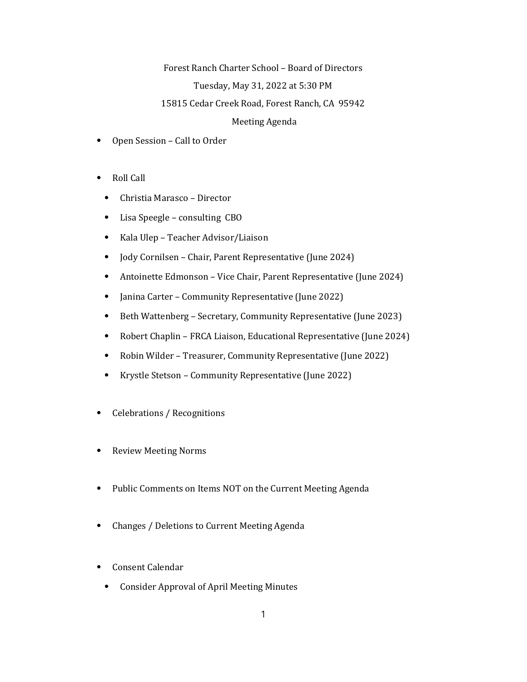## Forest Ranch Charter School – Board of Directors

## Tuesday, May 31, 2022 at 5:30 PM

## 15815 Cedar Creek Road, Forest Ranch, CA 95942

## Meeting Agenda

- ⦁ Open Session Call to Order
- ⦁ Roll Call
	- ⦁ Christia Marasco Director
	- ⦁ Lisa Speegle consulting CBO
	- ⦁ Kala Ulep Teacher Advisor/Liaison
	- ⦁ Jody Cornilsen Chair, Parent Representative (June 2024)
	- ⦁ Antoinette Edmonson Vice Chair, Parent Representative (June 2024)
	- ⦁ Janina Carter Community Representative (June 2022)
	- ⦁ Beth Wattenberg Secretary, Community Representative (June 2023)
	- ⦁ Robert Chaplin FRCA Liaison, Educational Representative (June 2024)
	- ⦁ Robin Wilder Treasurer, Community Representative (June 2022)
	- ⦁ Krystle Stetson Community Representative (June 2022)
- ⦁ Celebrations / Recognitions
- ⦁ Review Meeting Norms
- ⦁ Public Comments on Items NOT on the Current Meeting Agenda
- ⦁ Changes / Deletions to Current Meeting Agenda
- ⦁ Consent Calendar
	- ⦁ Consider Approval of April Meeting Minutes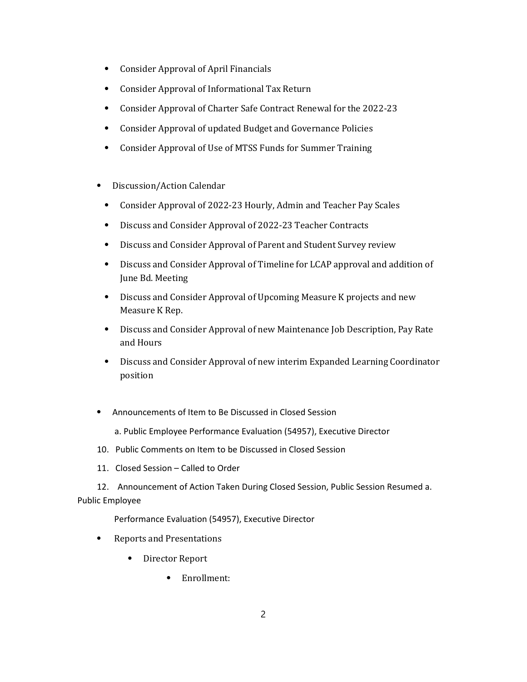- ⦁ Consider Approval of April Financials
- ⦁ Consider Approval of Informational Tax Return
- ⦁ Consider Approval of Charter Safe Contract Renewal for the 2022-23
- ⦁ Consider Approval of updated Budget and Governance Policies
- ⦁ Consider Approval of Use of MTSS Funds for Summer Training
- ⦁ Discussion/Action Calendar
	- ⦁ Consider Approval of 2022-23 Hourly, Admin and Teacher Pay Scales
	- ⦁ Discuss and Consider Approval of 2022-23 Teacher Contracts
	- ⦁ Discuss and Consider Approval of Parent and Student Survey review
	- ⦁ Discuss and Consider Approval of Timeline for LCAP approval and addition of June Bd. Meeting
	- ⦁ Discuss and Consider Approval of Upcoming Measure K projects and new Measure K Rep.
	- ⦁ Discuss and Consider Approval of new Maintenance Job Description, Pay Rate and Hours
	- ⦁ Discuss and Consider Approval of new interim Expanded Learning Coordinator position
- ⦁ Announcements of Item to Be Discussed in Closed Session
	- a. Public Employee Performance Evaluation (54957), Executive Director
- 10. Public Comments on Item to be Discussed in Closed Session
- 11. Closed Session Called to Order
- 12. Announcement of Action Taken During Closed Session, Public Session Resumed a. Public Employee

Performance Evaluation (54957), Executive Director

- ⦁ Reports and Presentations
	- ⦁ Director Report
		- ⦁ Enrollment: